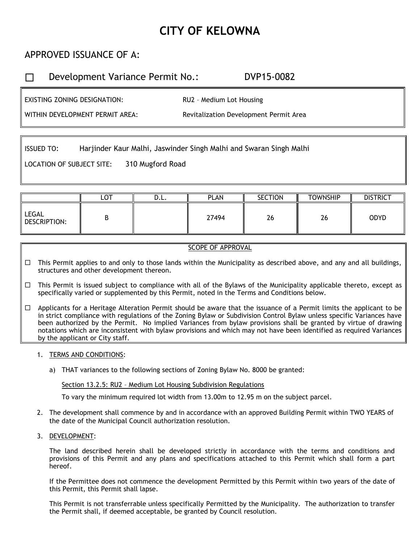# **CITY OF KELOWNA**

## APPROVED ISSUANCE OF A:

## Development Variance Permit No.: DVP15-0082

EXISTING ZONING DESIGNATION:

RU2 – Medium Lot Housing

WITHIN DEVELOPMENT PERMIT AREA:

Revitalization Development Permit Area

ISSUED TO: Harjinder Kaur Malhi, Jaswinder Singh Malhi and Swaran Singh Malhi

LOCATION OF SUBJECT SITE: 310 Mugford Road

|                       | $\overline{\mathsf{LOT}}$ | D.L. | <b>PLAN</b> | <b>SECTION</b> | <b>TOWNSHIP</b> | <b>DISTRICT</b> |
|-----------------------|---------------------------|------|-------------|----------------|-----------------|-----------------|
| LEGAL<br>DESCRIPTION: | D                         |      | 27494       | 26             | $\sim$<br>46    | <b>ODYD</b>     |

### SCOPE OF APPROVAL

- □ This Permit applies to and only to those lands within the Municipality as described above, and any and all buildings, structures and other development thereon.
- $\Box$ This Permit is issued subject to compliance with all of the Bylaws of the Municipality applicable thereto, except as specifically varied or supplemented by this Permit, noted in the Terms and Conditions below.

 $\Box$ Applicants for a Heritage Alteration Permit should be aware that the issuance of a Permit limits the applicant to be in strict compliance with regulations of the Zoning Bylaw or Subdivision Control Bylaw unless specific Variances have been authorized by the Permit. No implied Variances from bylaw provisions shall be granted by virtue of drawing notations which are inconsistent with bylaw provisions and which may not have been identified as required Variances by the applicant or City staff.

- 1. TERMS AND CONDITIONS:
	- a) THAT variances to the following sections of Zoning Bylaw No. 8000 be granted:

Section 13.2.5: RU2 – Medium Lot Housing Subdivision Regulations

To vary the minimum required lot width from 13.00m to 12.95 m on the subject parcel.

- 2. The development shall commence by and in accordance with an approved Building Permit within TWO YEARS of the date of the Municipal Council authorization resolution.
- 3. DEVELOPMENT:

The land described herein shall be developed strictly in accordance with the terms and conditions and provisions of this Permit and any plans and specifications attached to this Permit which shall form a part hereof.

If the Permittee does not commence the development Permitted by this Permit within two years of the date of this Permit, this Permit shall lapse.

This Permit is not transferrable unless specifically Permitted by the Municipality. The authorization to transfer the Permit shall, if deemed acceptable, be granted by Council resolution.